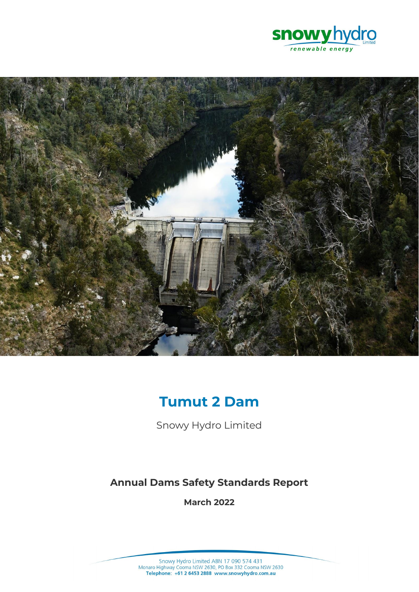



# **Tumut 2 Dam**

Snowy Hydro Limited

# **Annual Dams Safety Standards Report**

**March 2022**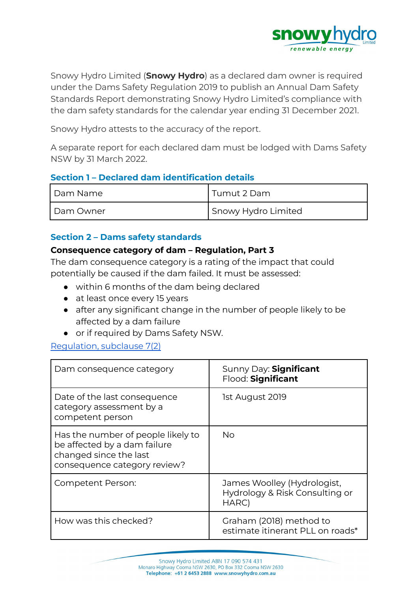

Snowy Hydro Limited (**Snowy Hydro**) as a declared dam owner is required under the Dams Safety Regulation 2019 to publish an Annual Dam Safety Standards Report demonstrating Snowy Hydro Limited's compliance with the dam safety standards for the calendar year ending 31 December 2021.

Snowy Hydro attests to the accuracy of the report.

A separate report for each declared dam must be lodged with Dams Safety NSW by 31 March 2022.

#### **Section 1 – Declared dam identification details**

| l Dam Name  | ' Tumut 2 Dam       |
|-------------|---------------------|
| l Dam Owner | Snowy Hydro Limited |

#### **Section 2 – Dams safety standards**

#### **Consequence category of dam – Regulation, Part 3**

The dam consequence category is a rating of the impact that could potentially be caused if the dam failed. It must be assessed:

- within 6 months of the dam being declared
- at least once every 15 years
- after any significant change in the number of people likely to be affected by a dam failure
- or if required by Dams Safety NSW.

#### [Regulation,](https://legislation.nsw.gov.au/view/html/inforce/current/sl-2019-0506#sec.7) subclause 7(2)

| Dam consequence category                                                                                                     | Sunny Day: Significant<br>Flood: Significant                           |
|------------------------------------------------------------------------------------------------------------------------------|------------------------------------------------------------------------|
| Date of the last consequence<br>category assessment by a<br>competent person                                                 | 1st August 2019                                                        |
| Has the number of people likely to<br>be affected by a dam failure<br>changed since the last<br>consequence category review? | Nο                                                                     |
| Competent Person:                                                                                                            | James Woolley (Hydrologist,<br>Hydrology & Risk Consulting or<br>HARC) |
| How was this checked?                                                                                                        | Graham (2018) method to<br>estimate itinerant PLL on roads*            |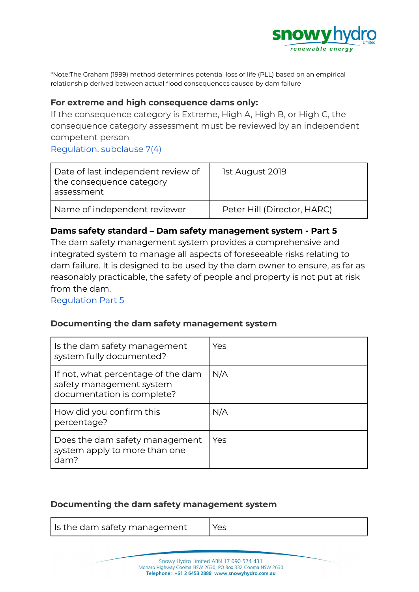

\*Note:The Graham (1999) method determines potential loss of life (PLL) based on an empirical relationship derived between actual flood consequences caused by dam failure

#### **For extreme and high consequence dams only:**

If the consequence category is Extreme, High A, High B, or High C, the consequence category assessment must be reviewed by an independent competent person [Regulation,](https://legislation.nsw.gov.au/view/html/inforce/current/sl-2019-0506#sec.7) subclause 7(4)

| Date of last independent review of<br>the consequence category<br>assessment | 1st August 2019             |
|------------------------------------------------------------------------------|-----------------------------|
| Name of independent reviewer                                                 | Peter Hill (Director, HARC) |

#### **Dams safety standard – Dam safety management system - Part 5**

The dam safety management system provides a comprehensive and integrated system to manage all aspects of foreseeable risks relating to dam failure. It is designed to be used by the dam owner to ensure, as far as reasonably practicable, the safety of people and property is not put at risk from the dam.

[Regulation](https://legislation.nsw.gov.au/view/html/inforce/current/sl-2019-0506#pt.5) Part 5

#### **Documenting the dam safety management system**

| Is the dam safety management<br>system fully documented?                                     | Yes |
|----------------------------------------------------------------------------------------------|-----|
| If not, what percentage of the dam<br>safety management system<br>documentation is complete? | N/A |
| How did you confirm this<br>percentage?                                                      | N/A |
| Does the dam safety management<br>system apply to more than one<br>dam?                      | Yes |

#### **Documenting the dam safety management system**

| ls the dam safety management | Yes |
|------------------------------|-----|
|------------------------------|-----|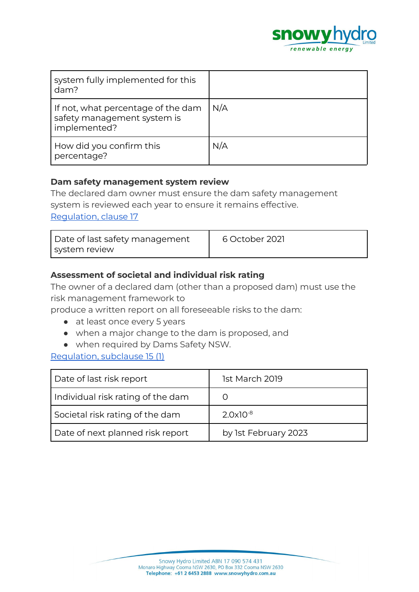

| system fully implemented for this<br>dam?                                         |     |
|-----------------------------------------------------------------------------------|-----|
| If not, what percentage of the dam<br>safety management system is<br>implemented? | N/A |
| How did you confirm this<br>percentage?                                           | N/A |

#### **Dam safety management system review**

The declared dam owner must ensure the dam safety management system is reviewed each year to ensure it remains effective.

[Regulation,](https://legislation.nsw.gov.au/view/html/inforce/current/sl-2019-0506#sec.17) clause 17

| Date of last safety management | 6 October 2021 |
|--------------------------------|----------------|
| system review                  |                |

# **Assessment of societal and individual risk rating**

The owner of a declared dam (other than a proposed dam) must use the risk management framework to

produce a written report on all foreseeable risks to the dam:

- at least once every 5 years
- when a major change to the dam is proposed, and
- when required by Dams Safety NSW.

#### [Regulation,](https://legislation.nsw.gov.au/view/html/inforce/current/sl-2019-0506#sec.15) subclause 15 (1)

| Date of last risk report          | 1st March 2019       |
|-----------------------------------|----------------------|
| Individual risk rating of the dam |                      |
| Societal risk rating of the dam   | $2.0x10^{-8}$        |
| Date of next planned risk report  | by 1st February 2023 |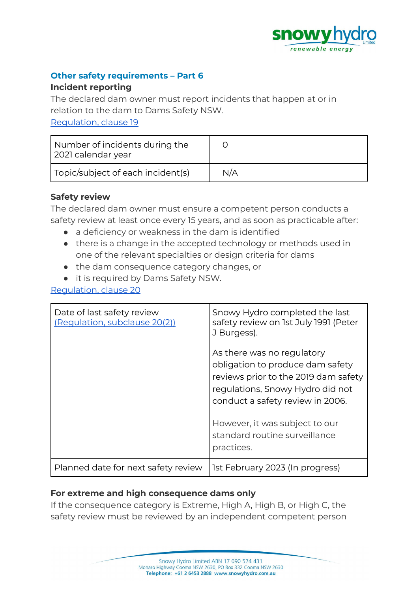

### **Other safety requirements – Part 6**

#### **Incident reporting**

The declared dam owner must report incidents that happen at or in relation to the dam to Dams Safety NSW.

[Regulation,](https://legislation.nsw.gov.au/view/html/inforce/current/sl-2019-0506#sec.19) clause 19

| Number of incidents during the<br>2021 calendar year |     |
|------------------------------------------------------|-----|
| Topic/subject of each incident(s)                    | N/A |

# **Safety review**

The declared dam owner must ensure a competent person conducts a safety review at least once every 15 years, and as soon as practicable after:

- a deficiency or weakness in the dam is identified
- there is a change in the accepted technology or methods used in one of the relevant specialties or design criteria for dams
- the dam consequence category changes, or
- it is required by Dams Safety NSW.

[Regulation,](https://legislation.nsw.gov.au/view/html/inforce/current/sl-2019-0506#sec.20) clause 20

| Date of last safety review<br>(Regulation, subclause 20(2)) | Snowy Hydro completed the last<br>safety review on 1st July 1991 (Peter<br>J Burgess).<br>As there was no regulatory<br>obligation to produce dam safety<br>reviews prior to the 2019 dam safety<br>regulations, Snowy Hydro did not<br>conduct a safety review in 2006.<br>However, it was subject to our<br>standard routine surveillance<br>practices. |
|-------------------------------------------------------------|-----------------------------------------------------------------------------------------------------------------------------------------------------------------------------------------------------------------------------------------------------------------------------------------------------------------------------------------------------------|
| Planned date for next safety review                         | 1st February 2023 (In progress)                                                                                                                                                                                                                                                                                                                           |

# **For extreme and high consequence dams only**

If the consequence category is Extreme, High A, High B, or High C, the safety review must be reviewed by an independent competent person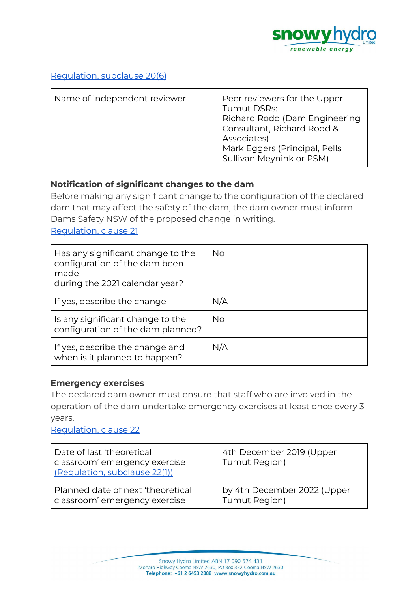

# [Regulation,](https://legislation.nsw.gov.au/view/html/inforce/current/sl-2019-0506#sec.7) subclause 20(6)

| Name of independent reviewer | Peer reviewers for the Upper<br><b>Tumut DSRs:</b><br>Richard Rodd (Dam Engineering<br>Consultant, Richard Rodd &<br>Associates)<br>Mark Eggers (Principal, Pells<br>Sullivan Meynink or PSM) |
|------------------------------|-----------------------------------------------------------------------------------------------------------------------------------------------------------------------------------------------|
|------------------------------|-----------------------------------------------------------------------------------------------------------------------------------------------------------------------------------------------|

# **Notification of significant changes to the dam**

Before making any significant change to the configuration of the declared dam that may affect the safety of the dam, the dam owner must inform Dams Safety NSW of the proposed change in writing.

[Regulation,](https://legislation.nsw.gov.au/view/html/inforce/current/sl-2019-0506#sec.21) clause 21

| Has any significant change to the<br>configuration of the dam been<br>made<br>during the 2021 calendar year? | No  |
|--------------------------------------------------------------------------------------------------------------|-----|
| If yes, describe the change                                                                                  | N/A |
| Is any significant change to the<br>configuration of the dam planned?                                        | No. |
| If yes, describe the change and<br>when is it planned to happen?                                             | N/A |

#### **Emergency exercises**

The declared dam owner must ensure that staff who are involved in the operation of the dam undertake emergency exercises at least once every 3 years.

[Regulation,](https://legislation.nsw.gov.au/view/html/inforce/current/sl-2019-0506#sec.22) clause 22

| Date of last 'theoretical<br>classroom' emergency exercise<br>(Regulation, subclause 22(1)) | 4th December 2019 (Upper<br>Tumut Region) |
|---------------------------------------------------------------------------------------------|-------------------------------------------|
| Planned date of next 'theoretical                                                           | by 4th December 2022 (Upper               |
| classroom' emergency exercise                                                               | Tumut Region)                             |